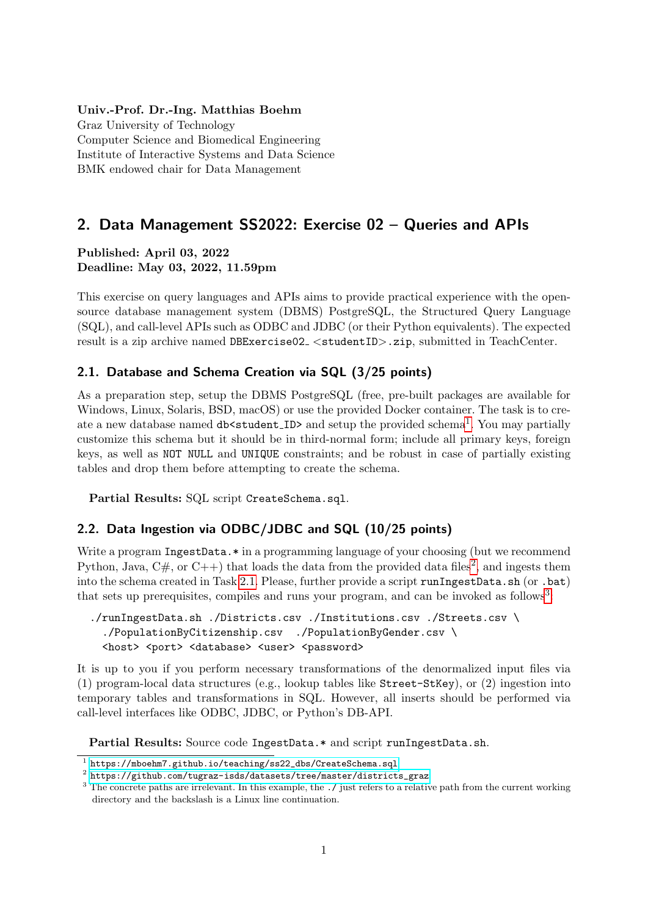#### Univ.-Prof. Dr.-Ing. Matthias Boehm

Graz University of Technology Computer Science and Biomedical Engineering Institute of Interactive Systems and Data Science BMK endowed chair for Data Management

# 2. Data Management SS2022: Exercise 02 – Queries and APIs

#### Published: April 03, 2022 Deadline: May 03, 2022, 11.59pm

This exercise on query languages and APIs aims to provide practical experience with the opensource database management system (DBMS) PostgreSQL, the Structured Query Language (SQL), and call-level APIs such as ODBC and JDBC (or their Python equivalents). The expected result is a zip archive named DBExercise02\_<studentID>.zip, submitted in TeachCenter.

### <span id="page-0-2"></span>2.1. Database and Schema Creation via SQL (3/25 points)

As a preparation step, setup the DBMS PostgreSQL (free, pre-built packages are available for Windows, Linux, Solaris, BSD, macOS) or use the provided Docker container. The task is to cre-ate a new database named db<student\_ID> and setup the provided schema<sup>[1](#page-0-0)</sup>. You may partially customize this schema but it should be in third-normal form; include all primary keys, foreign keys, as well as NOT NULL and UNIQUE constraints; and be robust in case of partially existing tables and drop them before attempting to create the schema.

Partial Results: SQL script CreateSchema.sql.

### <span id="page-0-4"></span>2.2. Data Ingestion via ODBC/JDBC and SQL (10/25 points)

Write a program IngestData.\* in a programming language of your choosing (but we recommend Python, Java,  $C#$ , or  $C++$ ) that loads the data from the provided data files<sup>[2](#page-0-1)</sup>, and ingests them into the schema created in Task [2.1.](#page-0-2) Please, further provide a script runIngestData.sh (or .bat) that sets up prerequisites, compiles and runs your program, and can be invoked as follows<sup>[3](#page-0-3)</sup>:

```
./runIngestData.sh ./Districts.csv ./Institutions.csv ./Streets.csv \
 ./PopulationByCitizenship.csv ./PopulationByGender.csv \
<host> <port> <database> <user> <password>
```
It is up to you if you perform necessary transformations of the denormalized input files via (1) program-local data structures (e.g., lookup tables like Street-StKey), or (2) ingestion into temporary tables and transformations in SQL. However, all inserts should be performed via call-level interfaces like ODBC, JDBC, or Python's DB-API.

Partial Results: Source code IngestData.\* and script runIngestData.sh.

<span id="page-0-0"></span> $^{\rm 1}$  [https://mboehm7.github.io/teaching/ss22\\_dbs/CreateSchema.sql](https://mboehm7.github.io/teaching/ss22_dbs/CreateSchema.sql)

<span id="page-0-1"></span> $^2$  [https://github.com/tugraz-isds/datasets/tree/master/districts\\_graz](https://github.com/tugraz-isds/datasets/tree/master/districts_graz)

<span id="page-0-3"></span><sup>&</sup>lt;sup>3</sup> The concrete paths are irrelevant. In this example, the  $\cdot$  / just refers to a relative path from the current working directory and the backslash is a Linux line continuation.